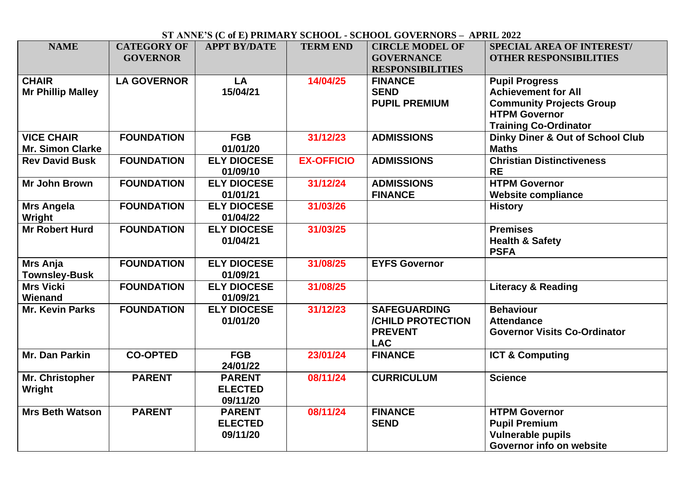## **ST ANNE'S (C of E) PRIMARY SCHOOL - SCHOOL GOVERNORS – APRIL 2022**

| <b>NAME</b>                                  | <b>CATEGORY OF</b><br><b>GOVERNOR</b> | <b>APPT BY/DATE</b>                         | <b>TERM END</b>   | <b>CIRCLE MODEL OF</b><br><b>GOVERNANCE</b><br><b>RESPONSIBILITIES</b>   | <b>SPECIAL AREA OF INTEREST/</b><br><b>OTHER RESPONSIBILITIES</b>                                                                              |
|----------------------------------------------|---------------------------------------|---------------------------------------------|-------------------|--------------------------------------------------------------------------|------------------------------------------------------------------------------------------------------------------------------------------------|
| <b>CHAIR</b><br><b>Mr Phillip Malley</b>     | <b>LA GOVERNOR</b>                    | LA<br>15/04/21                              | 14/04/25          | <b>FINANCE</b><br><b>SEND</b><br><b>PUPIL PREMIUM</b>                    | <b>Pupil Progress</b><br><b>Achievement for All</b><br><b>Community Projects Group</b><br><b>HTPM Governor</b><br><b>Training Co-Ordinator</b> |
| <b>VICE CHAIR</b><br><b>Mr. Simon Clarke</b> | <b>FOUNDATION</b>                     | <b>FGB</b><br>01/01/20                      | 31/12/23          | <b>ADMISSIONS</b>                                                        | <b>Dinky Diner &amp; Out of School Club</b><br><b>Maths</b>                                                                                    |
| <b>Rev David Busk</b>                        | <b>FOUNDATION</b>                     | <b>ELY DIOCESE</b><br>01/09/10              | <b>EX-OFFICIO</b> | <b>ADMISSIONS</b>                                                        | <b>Christian Distinctiveness</b><br><b>RE</b>                                                                                                  |
| <b>Mr John Brown</b>                         | <b>FOUNDATION</b>                     | <b>ELY DIOCESE</b><br>01/01/21              | 31/12/24          | <b>ADMISSIONS</b><br><b>FINANCE</b>                                      | <b>HTPM Governor</b><br><b>Website compliance</b>                                                                                              |
| <b>Mrs Angela</b><br>Wright                  | <b>FOUNDATION</b>                     | <b>ELY DIOCESE</b><br>01/04/22              | 31/03/26          |                                                                          | <b>History</b>                                                                                                                                 |
| <b>Mr Robert Hurd</b>                        | <b>FOUNDATION</b>                     | <b>ELY DIOCESE</b><br>01/04/21              | 31/03/25          |                                                                          | <b>Premises</b><br><b>Health &amp; Safety</b><br><b>PSFA</b>                                                                                   |
| <b>Mrs Anja</b><br><b>Townsley-Busk</b>      | <b>FOUNDATION</b>                     | <b>ELY DIOCESE</b><br>01/09/21              | 31/08/25          | <b>EYFS Governor</b>                                                     |                                                                                                                                                |
| <b>Mrs Vicki</b><br>Wienand                  | <b>FOUNDATION</b>                     | <b>ELY DIOCESE</b><br>01/09/21              | 31/08/25          |                                                                          | <b>Literacy &amp; Reading</b>                                                                                                                  |
| <b>Mr. Kevin Parks</b>                       | <b>FOUNDATION</b>                     | <b>ELY DIOCESE</b><br>01/01/20              | 31/12/23          | <b>SAFEGUARDING</b><br>/CHILD PROTECTION<br><b>PREVENT</b><br><b>LAC</b> | <b>Behaviour</b><br><b>Attendance</b><br><b>Governor Visits Co-Ordinator</b>                                                                   |
| Mr. Dan Parkin                               | <b>CO-OPTED</b>                       | <b>FGB</b><br>24/01/22                      | 23/01/24          | <b>FINANCE</b>                                                           | <b>ICT &amp; Computing</b>                                                                                                                     |
| Mr. Christopher<br>Wright                    | <b>PARENT</b>                         | <b>PARENT</b><br><b>ELECTED</b><br>09/11/20 | 08/11/24          | <b>CURRICULUM</b>                                                        | <b>Science</b>                                                                                                                                 |
| <b>Mrs Beth Watson</b>                       | <b>PARENT</b>                         | <b>PARENT</b><br><b>ELECTED</b><br>09/11/20 | 08/11/24          | <b>FINANCE</b><br><b>SEND</b>                                            | <b>HTPM Governor</b><br><b>Pupil Premium</b><br><b>Vulnerable pupils</b><br>Governor info on website                                           |